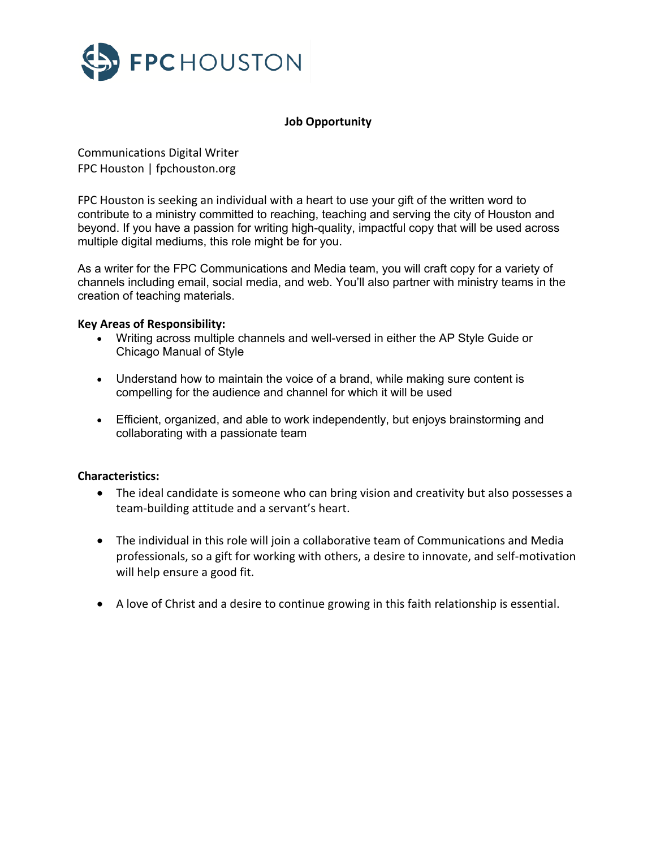

# **Job Opportunity**

Communications Digital Writer FPC Houston | fpchouston.org

FPC Houston is seeking an individual with a heart to use your gift of the written word to contribute to a ministry committed to reaching, teaching and serving the city of Houston and beyond. If you have a passion for writing high-quality, impactful copy that will be used across multiple digital mediums, this role might be for you.

As a writer for the FPC Communications and Media team, you will craft copy for a variety of channels including email, social media, and web. You'll also partner with ministry teams in the creation of teaching materials.

### **Key Areas of Responsibility:**

- Writing across multiple channels and well-versed in either the AP Style Guide or Chicago Manual of Style
- Understand how to maintain the voice of a brand, while making sure content is compelling for the audience and channel for which it will be used
- Efficient, organized, and able to work independently, but enjoys brainstorming and collaborating with a passionate team

#### **Characteristics:**

- The ideal candidate is someone who can bring vision and creativity but also possesses a team-building attitude and a servant's heart.
- The individual in this role will join a collaborative team of Communications and Media professionals, so a gift for working with others, a desire to innovate, and self-motivation will help ensure a good fit.
- A love of Christ and a desire to continue growing in this faith relationship is essential.